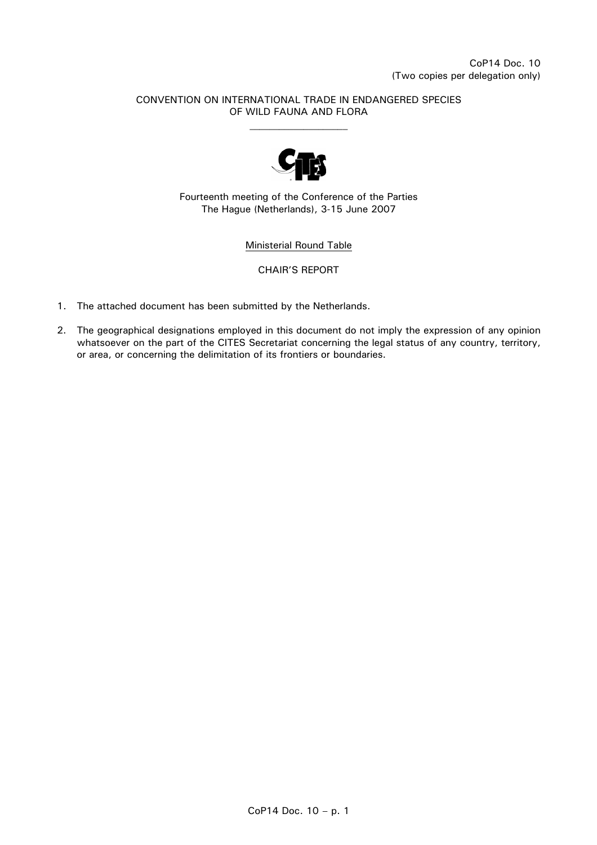#### CONVENTION ON INTERNATIONAL TRADE IN ENDANGERED SPECIES OF WILD FAUNA AND FLORA



Fourteenth meeting of the Conference of the Parties The Hague (Netherlands), 3-15 June 2007

Ministerial Round Table

#### CHAIR'S REPORT

- 1. The attached document has been submitted by the Netherlands.
- 2. The geographical designations employed in this document do not imply the expression of any opinion whatsoever on the part of the CITES Secretariat concerning the legal status of any country, territory, or area, or concerning the delimitation of its frontiers or boundaries.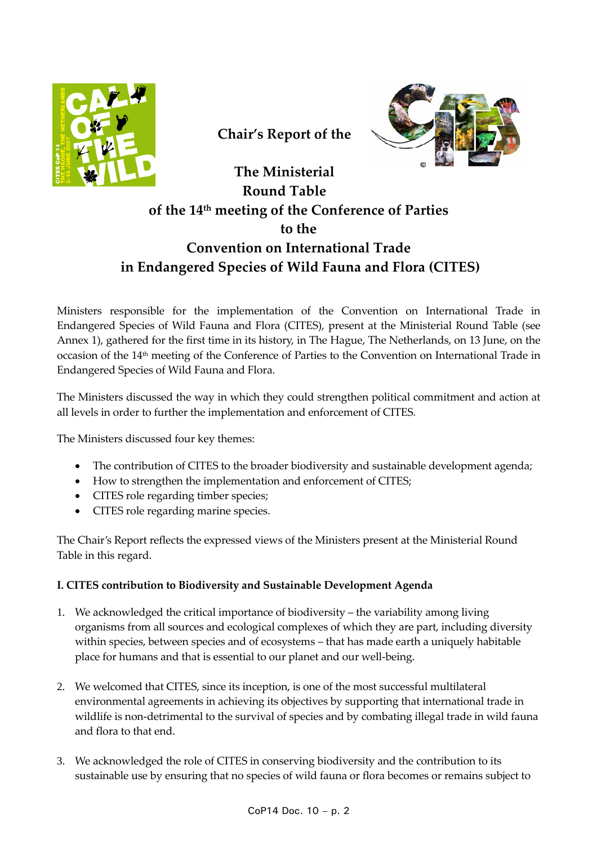

**Chair's Report of the**



# **The Ministerial Round Table of the 14th meeting of the Conference of Parties to the Convention on International Trade in Endangered Species of Wild Fauna and Flora (CITES)**

Ministers responsible for the implementation of the Convention on International Trade in Endangered Species of Wild Fauna and Flora (CITES), present at the Ministerial Round Table (see Annex 1), gathered for the first time in its history, in The Hague, The Netherlands, on 13 June, on the occasion of the 14th meeting of the Conference of Parties to the Convention on International Trade in Endangered Species of Wild Fauna and Flora.

The Ministers discussed the way in which they could strengthen political commitment and action at all levels in order to further the implementation and enforcement of CITES*.*

The Ministers discussed four key themes:

- The contribution of CITES to the broader biodiversity and sustainable development agenda;
- How to strengthen the implementation and enforcement of CITES;
- CITES role regarding timber species;
- CITES role regarding marine species.

The Chair's Report reflects the expressed views of the Ministers present at the Ministerial Round Table in this regard.

## **I. CITES contribution to Biodiversity and Sustainable Development Agenda**

- 1. We acknowledged the critical importance of biodiversity the variability among living organisms from all sources and ecological complexes of which they are part, including diversity within species, between species and of ecosystems – that has made earth a uniquely habitable place for humans and that is essential to our planet and our well‐being.
- 2. We welcomed that CITES, since its inception, is one of the most successful multilateral environmental agreements in achieving its objectives by supporting that international trade in wildlife is non-detrimental to the survival of species and by combating illegal trade in wild fauna and flora to that end.
- 3. We acknowledged the role of CITES in conserving biodiversity and the contribution to its sustainable use by ensuring that no species of wild fauna or flora becomes or remains subject to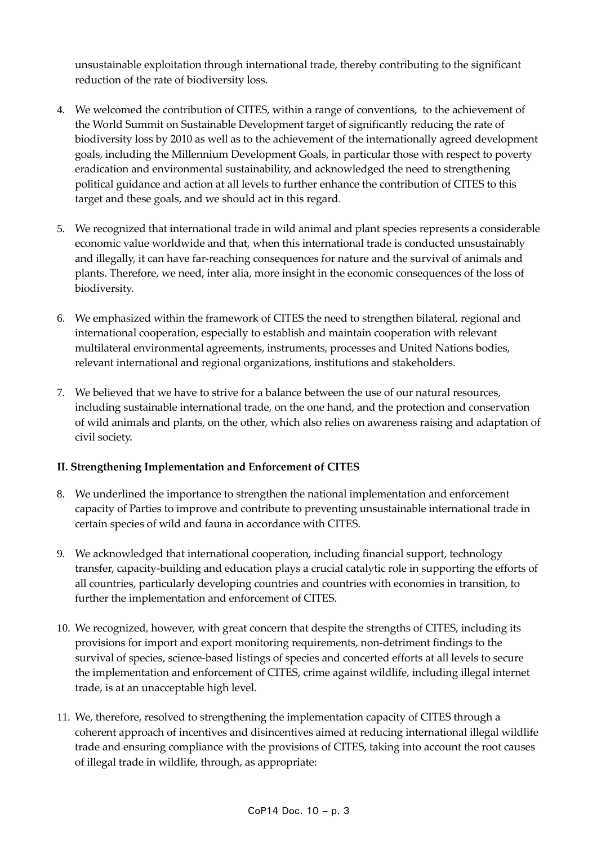unsustainable exploitation through international trade, thereby contributing to the significant reduction of the rate of biodiversity loss.

- 4. We welcomed the contribution of CITES, within a range of conventions, to the achievement of the World Summit on Sustainable Development target of significantly reducing the rate of biodiversity loss by 2010 as well as to the achievement of the internationally agreed development goals, including the Millennium Development Goals, in particular those with respect to poverty eradication and environmental sustainability, and acknowledged the need to strengthening political guidance and action at all levels to further enhance the contribution of CITES to this target and these goals, and we should act in this regard.
- 5. We recognized that international trade in wild animal and plant species represents a considerable economic value worldwide and that, when this international trade is conducted unsustainably and illegally, it can have far-reaching consequences for nature and the survival of animals and plants. Therefore, we need, inter alia, more insight in the economic consequences of the loss of biodiversity.
- 6. We emphasized within the framework of CITES the need to strengthen bilateral, regional and international cooperation, especially to establish and maintain cooperation with relevant multilateral environmental agreements, instruments, processes and United Nations bodies, relevant international and regional organizations, institutions and stakeholders.
- 7. We believed that we have to strive for a balance between the use of our natural resources, including sustainable international trade, on the one hand, and the protection and conservation of wild animals and plants, on the other, which also relies on awareness raising and adaptation of civil society.

## **II. Strengthening Implementation and Enforcement of CITES**

- 8. We underlined the importance to strengthen the national implementation and enforcement capacity of Parties to improve and contribute to preventing unsustainable international trade in certain species of wild and fauna in accordance with CITES.
- 9. We acknowledged that international cooperation, including financial support, technology transfer, capacity‐building and education plays a crucial catalytic role in supporting the efforts of all countries, particularly developing countries and countries with economies in transition, to further the implementation and enforcement of CITES.
- 10. We recognized, however, with great concern that despite the strengths of CITES, including its provisions for import and export monitoring requirements, non‐detriment findings to the survival of species, science-based listings of species and concerted efforts at all levels to secure the implementation and enforcement of CITES, crime against wildlife, including illegal internet trade, is at an unacceptable high level.
- 11. We, therefore, resolved to strengthening the implementation capacity of CITES through a coherent approach of incentives and disincentives aimed at reducing international illegal wildlife trade and ensuring compliance with the provisions of CITES, taking into account the root causes of illegal trade in wildlife, through, as appropriate: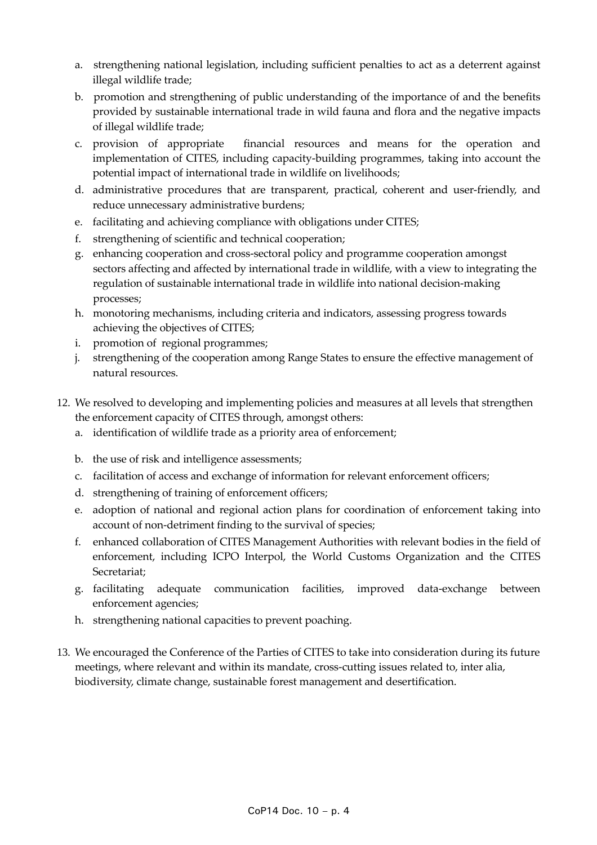- a. strengthening national legislation, including sufficient penalties to act as a deterrent against illegal wildlife trade;
- b. promotion and strengthening of public understanding of the importance of and the benefits provided by sustainable international trade in wild fauna and flora and the negative impacts of illegal wildlife trade;
- c. provision of appropriate financial resources and means for the operation and implementation of CITES, including capacity-building programmes, taking into account the potential impact of international trade in wildlife on livelihoods;
- d. administrative procedures that are transparent, practical, coherent and user‐friendly, and reduce unnecessary administrative burdens;
- e. facilitating and achieving compliance with obligations under CITES;
- f. strengthening of scientific and technical cooperation;
- g. enhancing cooperation and cross‐sectoral policy and programme cooperation amongst sectors affecting and affected by international trade in wildlife, with a view to integrating the regulation of sustainable international trade in wildlife into national decision-making processes;
- h. monotoring mechanisms, including criteria and indicators, assessing progress towards achieving the objectives of CITES;
- i. promotion of regional programmes;
- j. strengthening of the cooperation among Range States to ensure the effective management of natural resources.
- 12. We resolved to developing and implementing policies and measures at all levels that strengthen the enforcement capacity of CITES through, amongst others:
	- a. identification of wildlife trade as a priority area of enforcement;
	- b. the use of risk and intelligence assessments;
	- c. facilitation of access and exchange of information for relevant enforcement officers;
	- d. strengthening of training of enforcement officers;
	- e. adoption of national and regional action plans for coordination of enforcement taking into account of non‐detriment finding to the survival of species;
	- f. enhanced collaboration of CITES Management Authorities with relevant bodies in the field of enforcement, including ICPO Interpol, the World Customs Organization and the CITES Secretariat;
	- g. facilitating adequate communication facilities, improved data‐exchange between enforcement agencies;
	- h. strengthening national capacities to prevent poaching.
- 13. We encouraged the Conference of the Parties of CITES to take into consideration during its future meetings, where relevant and within its mandate, cross-cutting issues related to, inter alia, biodiversity, climate change, sustainable forest management and desertification.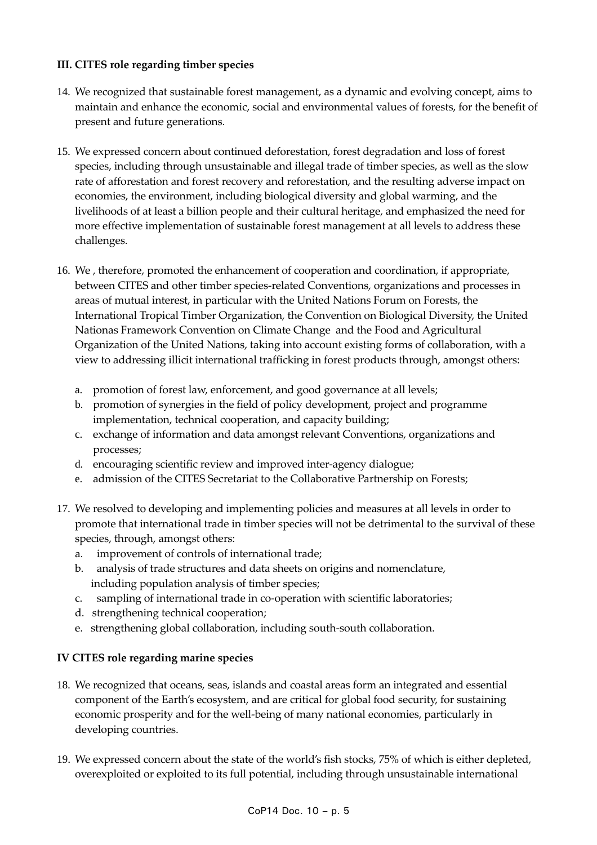## **III. CITES role regarding timber species**

- 14. We recognized that sustainable forest management, as a dynamic and evolving concept, aims to maintain and enhance the economic, social and environmental values of forests, for the benefit of present and future generations.
- 15. We expressed concern about continued deforestation, forest degradation and loss of forest species, including through unsustainable and illegal trade of timber species, as well as the slow rate of afforestation and forest recovery and reforestation, and the resulting adverse impact on economies, the environment, including biological diversity and global warming, and the livelihoods of at least a billion people and their cultural heritage, and emphasized the need for more effective implementation of sustainable forest management at all levels to address these challenges.
- 16. We , therefore, promoted the enhancement of cooperation and coordination, if appropriate, between CITES and other timber species-related Conventions, organizations and processes in areas of mutual interest, in particular with the United Nations Forum on Forests, the International Tropical Timber Organization, the Convention on Biological Diversity, the United Nationas Framework Convention on Climate Change and the Food and Agricultural Organization of the United Nations, taking into account existing forms of collaboration, with a view to addressing illicit international trafficking in forest products through, amongst others:
	- a. promotion of forest law, enforcement, and good governance at all levels;
	- b. promotion of synergies in the field of policy development, project and programme implementation, technical cooperation, and capacity building;
	- c. exchange of information and data amongst relevant Conventions, organizations and processes;
	- d. encouraging scientific review and improved inter‐agency dialogue;
	- e. admission of the CITES Secretariat to the Collaborative Partnership on Forests;
- 17. We resolved to developing and implementing policies and measures at all levels in order to promote that international trade in timber species will not be detrimental to the survival of these species, through, amongst others:
	- a. improvement of controls of international trade;
	- b. analysis of trade structures and data sheets on origins and nomenclature, including population analysis of timber species;
	- c. sampling of international trade in co-operation with scientific laboratories;
	- d. strengthening technical cooperation;
	- e. strengthening global collaboration, including south‐south collaboration.

#### **IV CITES role regarding marine species**

- 18. We recognized that oceans, seas, islands and coastal areas form an integrated and essential component of the Earth's ecosystem, and are critical for global food security, for sustaining economic prosperity and for the well-being of many national economies, particularly in developing countries.
- 19. We expressed concern about the state of the world's fish stocks, 75% of which is either depleted, overexploited or exploited to its full potential, including through unsustainable international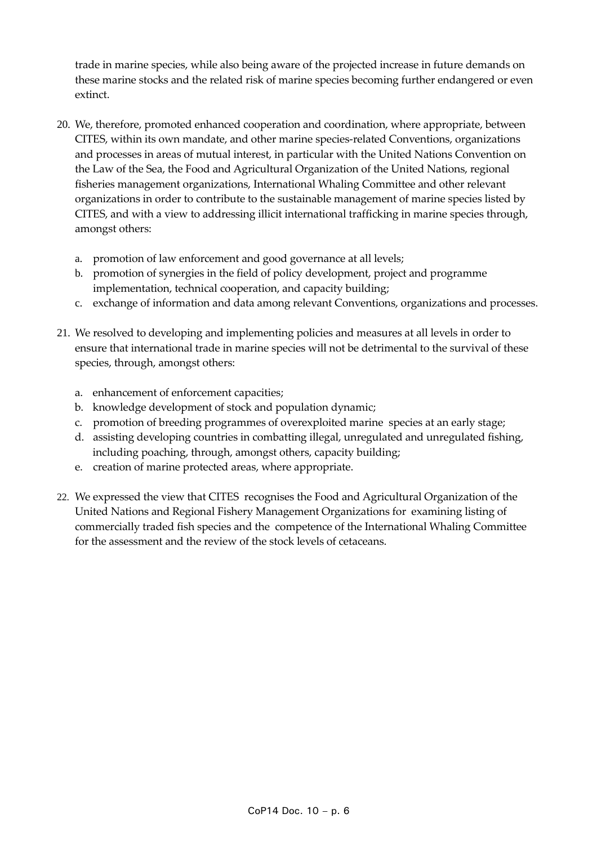trade in marine species, while also being aware of the projected increase in future demands on these marine stocks and the related risk of marine species becoming further endangered or even extinct.

- 20. We, therefore, promoted enhanced cooperation and coordination, where appropriate, between CITES, within its own mandate, and other marine species‐related Conventions, organizations and processes in areas of mutual interest, in particular with the United Nations Convention on the Law of the Sea, the Food and Agricultural Organization of the United Nations, regional fisheries management organizations, International Whaling Committee and other relevant organizations in order to contribute to the sustainable management of marine species listed by CITES, and with a view to addressing illicit international trafficking in marine species through, amongst others:
	- a. promotion of law enforcement and good governance at all levels;
	- b. promotion of synergies in the field of policy development, project and programme implementation, technical cooperation, and capacity building;
	- c. exchange of information and data among relevant Conventions, organizations and processes.
- 21. We resolved to developing and implementing policies and measures at all levels in order to ensure that international trade in marine species will not be detrimental to the survival of these species, through, amongst others:
	- a. enhancement of enforcement capacities;
	- b. knowledge development of stock and population dynamic;
	- c. promotion of breeding programmes of overexploited marine species at an early stage;
	- d. assisting developing countries in combatting illegal, unregulated and unregulated fishing, including poaching, through, amongst others, capacity building;
	- e. creation of marine protected areas, where appropriate.
- 22. We expressed the view that CITES recognises the Food and Agricultural Organization of the United Nations and Regional Fishery Management Organizations for examining listing of commercially traded fish species and the competence of the International Whaling Committee for the assessment and the review of the stock levels of cetaceans.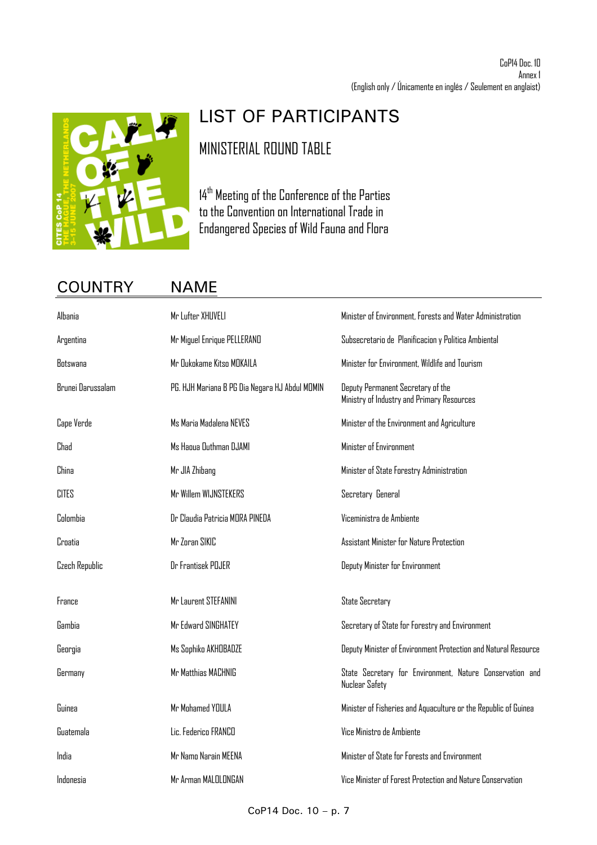

# LIST OF PARTICIPANTS MINISTERIAL ROUND TABLE

14<sup>th</sup> Meeting of the Conference of the Parties to the Convention on International Trade in Endangered Species of Wild Fauna and Flora

# COUNTRY NAME

| Albania           | Mr Lufter XHUVELI                              | Minister of Environment, Forests and Water Administration                       |
|-------------------|------------------------------------------------|---------------------------------------------------------------------------------|
| Argentina         | Mr Miguel Enrique PELLERAND                    | Subsecretario de Planificacion y Politica Ambiental                             |
| Rotswana          | Mr Dukokame Kitso MOKAILA                      | Minister for Environment, Wildlife and Tourism                                  |
| Brunei Darussalam | PG. HJH Mariana B PG Dia Negara HJ Abdul MOMIN | Deputy Permanent Secretary of the<br>Ministry of Industry and Primary Resources |
| Cape Verde        | Ms Maria Madalena NEVES                        | Minister of the Environment and Agriculture                                     |
| Chad              | Ms Haoua Outhman DJAMI                         | Minister of Environment                                                         |
| China             | Mr JIA Zhibang                                 | Minister of State Forestry Administration                                       |
| <b>CITES</b>      | Mr Willem WIJNSTEKERS                          | Secretary General                                                               |
| Colombia          | Dr Claudia Patricia MORA PINEDA                | Viceministra de Ambiente                                                        |
| Croatia           | Mr Zoran SIKIC                                 | Assistant Minister for Nature Protection                                        |
| Czech Republic    | Dr Frantisek POJER                             | Deputy Minister for Environment                                                 |
| France            | Mr Laurent STEFANINI                           | <b>State Secretary</b>                                                          |
| Gambia            | Mr Edward SINGHATEY                            | Secretary of State for Forestry and Environment                                 |
| Georgia           | Ms Sophiko AKHOBADZE                           | Deputy Minister of Environment Protection and Natural Resource                  |
| Germany           | Mr Matthias MACHNIG                            | State Secretary for Environment, Nature Conservation and<br>Nuclear Safety      |
| Guinea            | Mr Mohamed YOULA                               | Minister of Fisheries and Aquaculture or the Republic of Guinea                 |
| Guatemala         | Lic. Federico FRANCO                           | Vice Ministro de Ambiente                                                       |
| India             | Mr Namo Narain MEENA                           | Minister of State for Forests and Environment                                   |
| Indonesia         | Mr Arman MALOLONGAN                            | Vice Minister of Forest Protection and Nature Conservation                      |